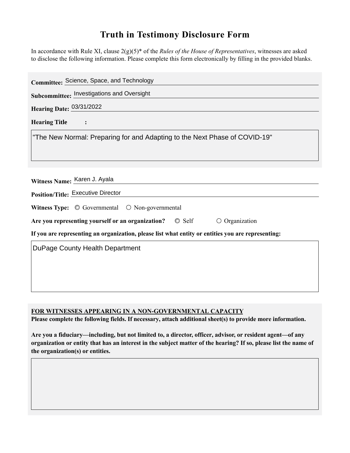## **Truth in Testimony Disclosure Form**

In accordance with Rule XI, clause 2(g)(5)\* of the *Rules of the House of Representatives*, witnesses are asked to disclose the following information. Please complete this form electronically by filling in the provided blanks.

| Committee: Science, Space, and Technology                                                          |
|----------------------------------------------------------------------------------------------------|
| Subcommittee: Investigations and Oversight                                                         |
| Hearing Date: 03/31/2022                                                                           |
| <b>Hearing Title</b>                                                                               |
| "The New Normal: Preparing for and Adapting to the Next Phase of COVID-19"                         |
| Witness Name: Karen J. Ayala                                                                       |
| <b>Position/Title: Executive Director</b>                                                          |
| Witness Type: $\circledcirc$ Governmental $\circledcirc$ Non-governmental                          |
| $\circ$ Self<br>Are you representing yourself or an organization?<br>$\circ$ Organization          |
| If you are representing an organization, please list what entity or entities you are representing: |
| DuPage County Health Department                                                                    |
|                                                                                                    |
|                                                                                                    |
|                                                                                                    |

**FOR WITNESSES APPEARING IN A NON-GOVERNMENTAL CAPACITY**

**Please complete the following fields. If necessary, attach additional sheet(s) to provide more information.**

**Are you a fiduciary—including, but not limited to, a director, officer, advisor, or resident agent—of any organization or entity that has an interest in the subject matter of the hearing? If so, please list the name of the organization(s) or entities.**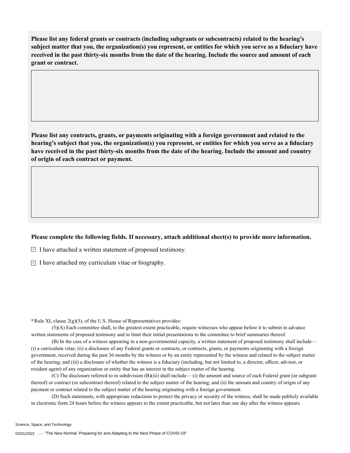**Please list any federal grants or contracts (including subgrants or subcontracts) related to the hearing's subject matter that you, the organization(s) you represent, or entities for which you serve as a fiduciary have received in the past thirty-six months from the date of the hearing. Include the source and amount of each grant or contract.** 

**Please list any contracts, grants, or payments originating with a foreign government and related to the hearing's subject that you, the organization(s) you represent, or entities for which you serve as a fiduciary have received in the past thirty-six months from the date of the hearing. Include the amount and country of origin of each contract or payment.** 

## **Please complete the following fields. If necessary, attach additional sheet(s) to provide more information.**

 $\exists$  I have attached a written statement of proposed testimony.

 $\subseteq$  I have attached my curriculum vitae or biography.

**\***Rule XI, clause 2(g)(5), of the U.S. House of Representatives provides:

(5)(A) Each committee shall, to the greatest extent practicable, require witnesses who appear before it to submit in advance written statements of proposed testimony and to limit their initial presentations to the committee to brief summaries thereof.

(B) In the case of a witness appearing in a non-governmental capacity, a written statement of proposed testimony shall include— (i) a curriculum vitae; (ii) a disclosure of any Federal grants or contracts, or contracts, grants, or payments originating with a foreign government, received during the past 36 months by the witness or by an entity represented by the witness and related to the subject matter of the hearing; and (iii) a disclosure of whether the witness is a fiduciary (including, but not limited to, a director, officer, advisor, or resident agent) of any organization or entity that has an interest in the subject matter of the hearing.

(C) The disclosure referred to in subdivision (B)(iii) shall include— (i) the amount and source of each Federal grant (or subgrant thereof) or contract (or subcontract thereof) related to the subject matter of the hearing; and (ii) the amount and country of origin of any payment or contract related to the subject matter of the hearing originating with a foreign government.

(D) Such statements, with appropriate redactions to protect the privacy or security of the witness, shall be made publicly available in electronic form 24 hours before the witness appears to the extent practicable, but not later than one day after the witness appears.